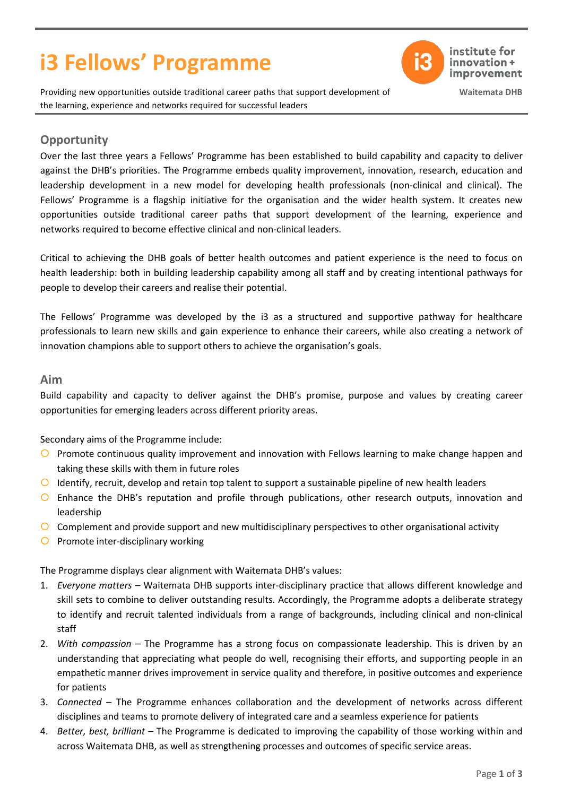# **i3 Fellows' Programme**



institute for innovation+ improvement

**Waitemata DHB**

Providing new opportunities outside traditional career paths that support development of the learning, experience and networks required for successful leaders

## **Opportunity**

Over the last three years a Fellows' Programme has been established to build capability and capacity to deliver against the DHB's priorities. The Programme embeds quality improvement, innovation, research, education and leadership development in a new model for developing health professionals (non-clinical and clinical). The Fellows' Programme is a flagship initiative for the organisation and the wider health system. It creates new opportunities outside traditional career paths that support development of the learning, experience and networks required to become effective clinical and non-clinical leaders.

Critical to achieving the DHB goals of better health outcomes and patient experience is the need to focus on health leadership: both in building leadership capability among all staff and by creating intentional pathways for people to develop their careers and realise their potential.

The Fellows' Programme was developed by the i3 as a structured and supportive pathway for healthcare professionals to learn new skills and gain experience to enhance their careers, while also creating a network of innovation champions able to support others to achieve the organisation's goals.

## **Aim**

Build capability and capacity to deliver against the DHB's promise, purpose and values by creating career opportunities for emerging leaders across different priority areas.

Secondary aims of the Programme include:

- O Promote continuous quality improvement and innovation with Fellows learning to make change happen and taking these skills with them in future roles
- $\bigcirc$  Identify, recruit, develop and retain top talent to support a sustainable pipeline of new health leaders
- Enhance the DHB's reputation and profile through publications, other research outputs, innovation and leadership
- $\circ$  Complement and provide support and new multidisciplinary perspectives to other organisational activity
- $\bigcirc$  Promote inter-disciplinary working

The Programme displays clear alignment with Waitemata DHB's values:

- 1. *Everyone matters* Waitemata DHB supports inter-disciplinary practice that allows different knowledge and skill sets to combine to deliver outstanding results. Accordingly, the Programme adopts a deliberate strategy to identify and recruit talented individuals from a range of backgrounds, including clinical and non-clinical staff
- 2. *With compassion* The Programme has a strong focus on compassionate leadership. This is driven by an understanding that appreciating what people do well, recognising their efforts, and supporting people in an empathetic manner drives improvement in service quality and therefore, in positive outcomes and experience for patients
- 3. *Connected*  The Programme enhances collaboration and the development of networks across different disciplines and teams to promote delivery of integrated care and a seamless experience for patients
- 4. *Better, best, brilliant* The Programme is dedicated to improving the capability of those working within and across Waitemata DHB, as well as strengthening processes and outcomes of specific service areas.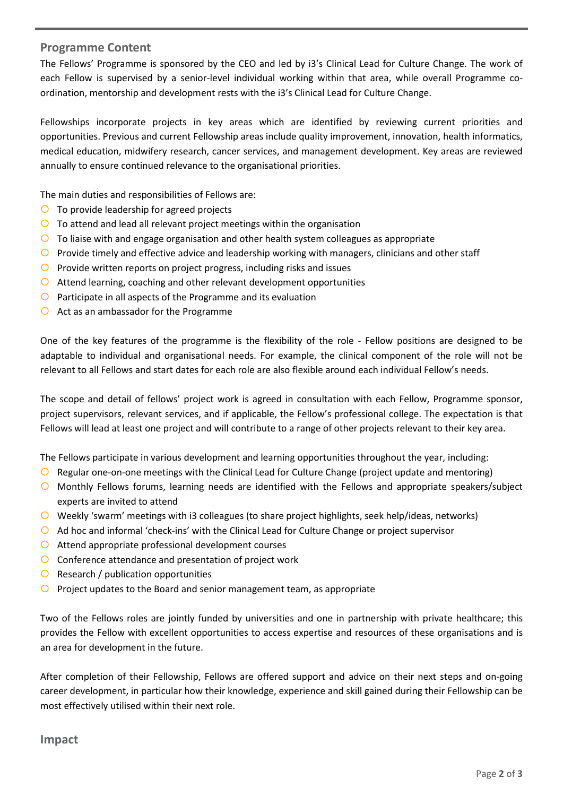## **Programme Content**

The Fellows' Programme is sponsored by the CEO and led by i3's Clinical Lead for Culture Change. The work of each Fellow is supervised by a senior-level individual working within that area, while overall Programme coordination, mentorship and development rests with the i3's Clinical Lead for Culture Change.

Fellowships incorporate projects in key areas which are identified by reviewing current priorities and opportunities. Previous and current Fellowship areas include quality improvement, innovation, health informatics, medical education, midwifery research, cancer services, and management development. Key areas are reviewed annually to ensure continued relevance to the organisational priorities.

The main duties and responsibilities of Fellows are:

- $\overline{O}$  To provide leadership for agreed projects
- $\overline{O}$  To attend and lead all relevant project meetings within the organisation
- $\circ$  To liaise with and engage organisation and other health system colleagues as appropriate
- $\bigcirc$  Provide timely and effective advice and leadership working with managers, clinicians and other staff
- $\overline{O}$  Provide written reports on project progress, including risks and issues
- $\circ$  Attend learning, coaching and other relevant development opportunities
- $\overline{O}$  Participate in all aspects of the Programme and its evaluation
- $\bigcirc$  Act as an ambassador for the Programme

One of the key features of the programme is the flexibility of the role - Fellow positions are designed to be adaptable to individual and organisational needs. For example, the clinical component of the role will not be relevant to all Fellows and start dates for each role are also flexible around each individual Fellow's needs.

The scope and detail of fellows' project work is agreed in consultation with each Fellow, Programme sponsor, project supervisors, relevant services, and if applicable, the Fellow's professional college. The expectation is that Fellows will lead at least one project and will contribute to a range of other projects relevant to their key area.

The Fellows participate in various development and learning opportunities throughout the year, including:

- $\bigcirc$  Regular one-on-one meetings with the Clinical Lead for Culture Change (project update and mentoring)
- Monthly Fellows forums, learning needs are identified with the Fellows and appropriate speakers/subject experts are invited to attend
- Weekly 'swarm' meetings with i3 colleagues (to share project highlights, seek help/ideas, networks)
- $\bigcirc$  Ad hoc and informal 'check-ins' with the Clinical Lead for Culture Change or project supervisor
- Attend appropriate professional development courses
- Conference attendance and presentation of project work
- $\overline{O}$  Research / publication opportunities
- $\circ$  Project updates to the Board and senior management team, as appropriate

Two of the Fellows roles are jointly funded by universities and one in partnership with private healthcare; this provides the Fellow with excellent opportunities to access expertise and resources of these organisations and is an area for development in the future.

After completion of their Fellowship, Fellows are offered support and advice on their next steps and on-going career development, in particular how their knowledge, experience and skill gained during their Fellowship can be most effectively utilised within their next role.

#### **Impact**